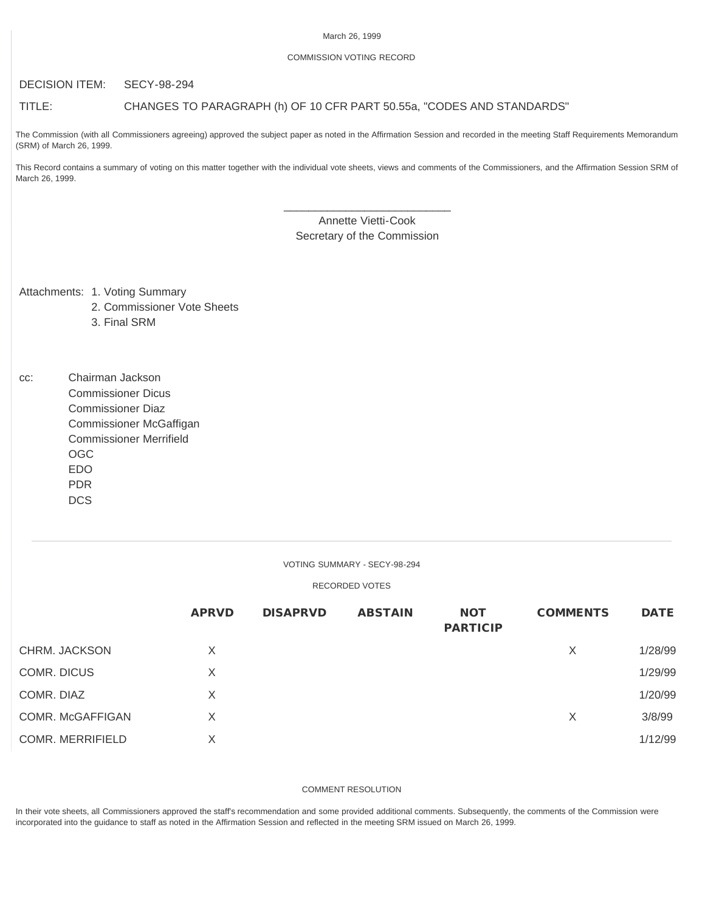#### March 26, 1999

## COMMISSION VOTING RECORD

## DECISION ITEM: SECY-98-294

# TITLE: CHANGES TO PARAGRAPH (h) OF 10 CFR PART 50.55a, "CODES AND STANDARDS"

The Commission (with all Commissioners agreeing) approved the subject paper as noted in the Affirmation Session and recorded in the meeting Staff Requirements Memorandum (SRM) of March 26, 1999.

This Record contains a summary of voting on this matter together with the individual vote sheets, views and comments of the Commissioners, and the Affirmation Session SRM of March 26, 1999.

# \_\_\_\_\_\_\_\_\_\_\_\_\_\_\_\_\_\_\_\_\_\_\_\_\_\_\_ Annette Vietti-Cook Secretary of the Commission

Attachments: 1. Voting Summary

- 2. Commissioner Vote Sheets
- 3. Final SRM

cc: Chairman Jackson Commissioner Dicus Commissioner Diaz Commissioner McGaffigan Commissioner Merrifield OGC EDO PDR **DCS** 

#### VOTING SUMMARY - SECY-98-294

#### RECORDED VOTES

|                         | <b>APRVD</b> | <b>DISAPRVD</b> | <b>ABSTAIN</b> | <b>NOT</b><br><b>PARTICIP</b> | <b>COMMENTS</b> | <b>DATE</b> |
|-------------------------|--------------|-----------------|----------------|-------------------------------|-----------------|-------------|
| CHRM. JACKSON           | X            |                 |                |                               | X               | 1/28/99     |
| COMR. DICUS             | X            |                 |                |                               |                 | 1/29/99     |
| COMR. DIAZ              | X            |                 |                |                               |                 | 1/20/99     |
| COMR. McGAFFIGAN        | X            |                 |                |                               | X               | 3/8/99      |
| <b>COMR. MERRIFIELD</b> | X            |                 |                |                               |                 | 1/12/99     |

#### COMMENT RESOLUTION

In their vote sheets, all Commissioners approved the staff's recommendation and some provided additional comments. Subsequently, the comments of the Commission were incorporated into the guidance to staff as noted in the Affirmation Session and reflected in the meeting SRM issued on March 26, 1999.